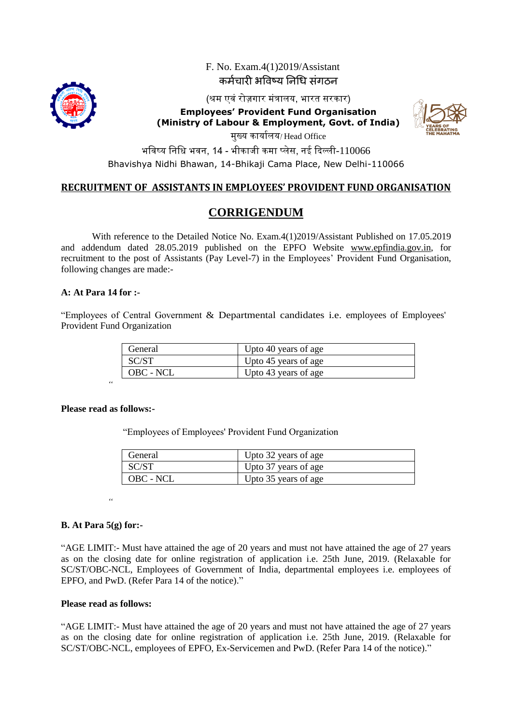

 F. No. Exam.4(1)2019/Assistant कर्मचारी भविष्य निधि संगठि

(श्रम एवं रोज़गार मंत्रालय, भारत सरकार)

**Employees' Provident Fund Organisation (Ministry of Labour & Employment, Govt. of India)** 



मुख्य कायाालय/ Head Office

भविष्य निधि भवन, 14 - भीकाजी कमा प्लेस, नई दिल्ली- $110066$ Bhavishya Nidhi Bhawan, 14-Bhikaji Cama Place, New Delhi-110066

### **RECRUITMENT OF ASSISTANTS IN EMPLOYEES' PROVIDENT FUND ORGANISATION**

## **CORRIGENDUM**

With reference to the Detailed Notice No. Exam.4(1)2019/Assistant Published on 17.05.2019 and addendum dated 28.05.2019 published on the EPFO Website [www.epfindia.gov.in,](http://www.epfindia.gov.in/) for recruitment to the post of Assistants (Pay Level-7) in the Employees' Provident Fund Organisation, following changes are made:-

#### **A: At Para 14 for :-**

"Employees of Central Government  $\&$  Departmental candidates i.e. employees of Employees' Provident Fund Organization

| General   | Upto 40 years of age |
|-----------|----------------------|
| SC/ST     | Upto 45 years of age |
| OBC - NCL | Upto 43 years of age |

#### **Please read as follows:-**

*"*

"Employees of Employees' Provident Fund Organization

| General   | Upto 32 years of age |
|-----------|----------------------|
| SC/ST     | Upto 37 years of age |
| OBC - NCL | Upto 35 years of age |

*"*

#### **B. At Para 5(g) for:-**

"AGE LIMIT:- Must have attained the age of 20 years and must not have attained the age of 27 years as on the closing date for online registration of application i.e. 25th June, 2019. (Relaxable for SC/ST/OBC-NCL, Employees of Government of India, departmental employees i.e. employees of EPFO, and PwD. (Refer Para 14 of the notice)."

#### **Please read as follows:**

"AGE LIMIT:- Must have attained the age of 20 years and must not have attained the age of 27 years as on the closing date for online registration of application i.e. 25th June, 2019. (Relaxable for SC/ST/OBC-NCL, employees of EPFO, Ex-Servicemen and PwD. (Refer Para 14 of the notice)."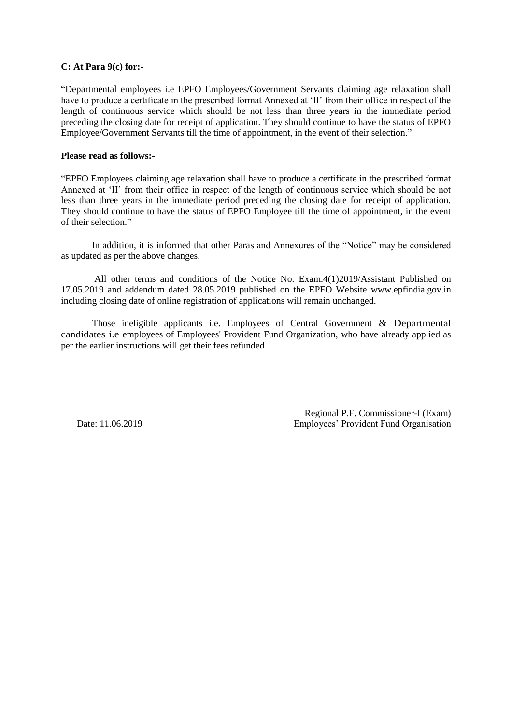#### **C: At Para 9(c) for:-**

"Departmental employees i.e EPFO Employees/Government Servants claiming age relaxation shall have to produce a certificate in the prescribed format Annexed at 'II' from their office in respect of the length of continuous service which should be not less than three years in the immediate period preceding the closing date for receipt of application. They should continue to have the status of EPFO Employee/Government Servants till the time of appointment, in the event of their selection."

#### **Please read as follows:-**

"EPFO Employees claiming age relaxation shall have to produce a certificate in the prescribed format Annexed at 'II' from their office in respect of the length of continuous service which should be not less than three years in the immediate period preceding the closing date for receipt of application. They should continue to have the status of EPFO Employee till the time of appointment, in the event of their selection."

In addition, it is informed that other Paras and Annexures of the "Notice" may be considered as updated as per the above changes.

All other terms and conditions of the Notice No. Exam.4(1)2019/Assistant Published on 17.05.2019 and addendum dated 28.05.2019 published on the EPFO Website [www.epfindia.gov.in](http://www.epfindia.gov.in/) including closing date of online registration of applications will remain unchanged.

Those ineligible applicants i.e. Employees of Central Government & Departmental candidates i.e employees of Employees' Provident Fund Organization, who have already applied as per the earlier instructions will get their fees refunded.

Regional P.F. Commissioner-I (Exam) Date: 11.06.2019 Employees" Provident Fund Organisation